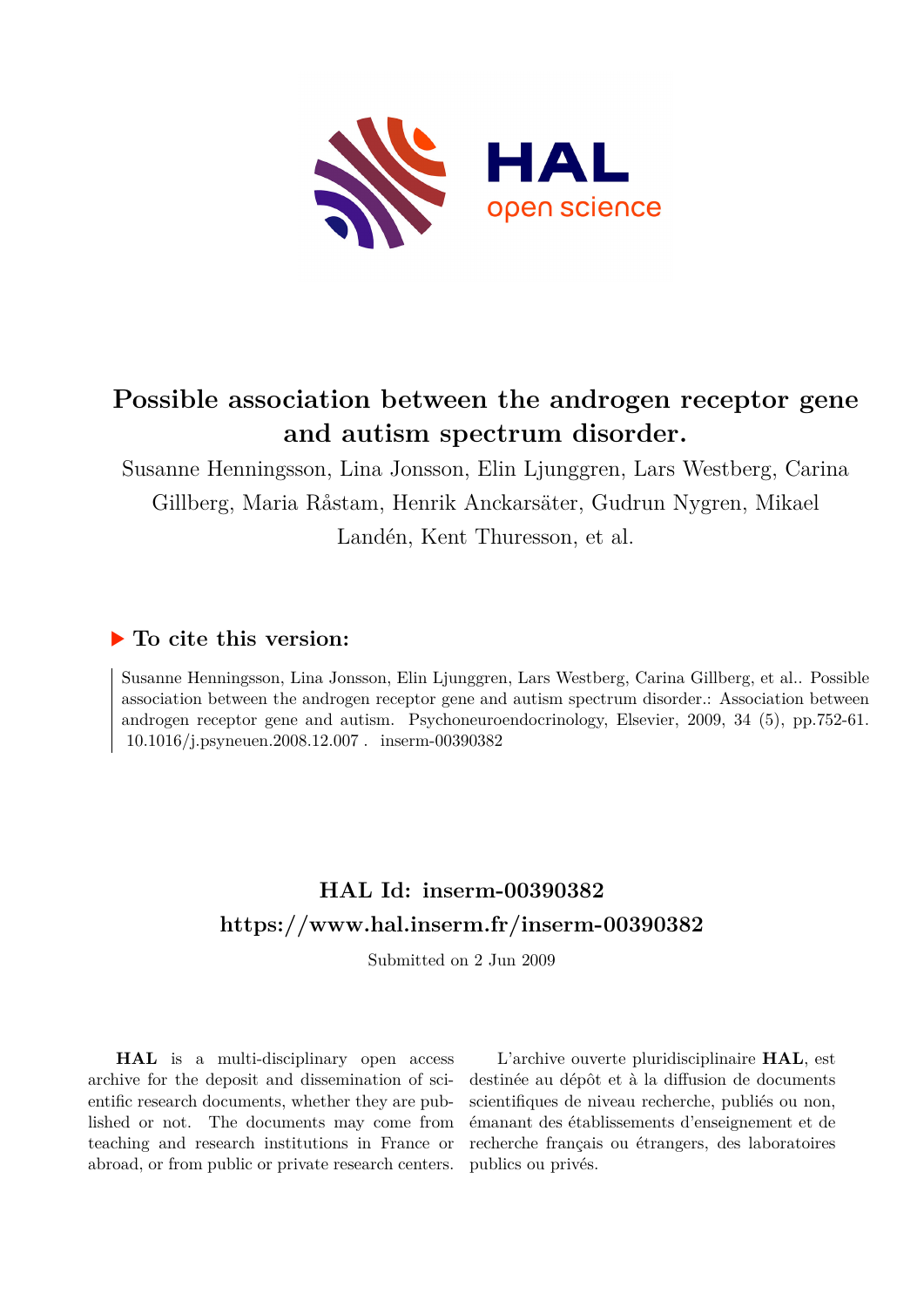

## **Possible association between the androgen receptor gene and autism spectrum disorder.**

Susanne Henningsson, Lina Jonsson, Elin Ljunggren, Lars Westberg, Carina Gillberg, Maria Råstam, Henrik Anckarsäter, Gudrun Nygren, Mikael Landén, Kent Thuresson, et al.

## **To cite this version:**

Susanne Henningsson, Lina Jonsson, Elin Ljunggren, Lars Westberg, Carina Gillberg, et al.. Possible association between the androgen receptor gene and autism spectrum disorder.: Association between androgen receptor gene and autism. Psychoneuroendocrinology, Elsevier, 2009, 34 (5), pp.752-61. 10.1016/j.psyneuen.2008.12.007. inserm-00390382

## **HAL Id: inserm-00390382 <https://www.hal.inserm.fr/inserm-00390382>**

Submitted on 2 Jun 2009

**HAL** is a multi-disciplinary open access archive for the deposit and dissemination of scientific research documents, whether they are published or not. The documents may come from teaching and research institutions in France or abroad, or from public or private research centers.

L'archive ouverte pluridisciplinaire **HAL**, est destinée au dépôt et à la diffusion de documents scientifiques de niveau recherche, publiés ou non, émanant des établissements d'enseignement et de recherche français ou étrangers, des laboratoires publics ou privés.